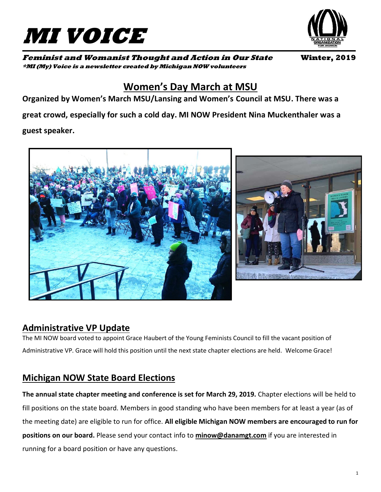



**Feminist and Womanist Thought and Action in Our State Winter, 2019 \*MI (My) Voice is a newsletter created by Michigan NOW volunteers**

# **Women's Day March at MSU**

**Organized by Women's March MSU/Lansing and Women's Council at MSU. There was a great crowd, especially for such a cold day. MI NOW President Nina Muckenthaler was a guest speaker.**



## **Administrative VP Update**

The MI NOW board voted to appoint Grace Haubert of the Young Feminists Council to fill the vacant position of Administrative VP. Grace will hold this position until the next state chapter elections are held. Welcome Grace!

## **Michigan NOW State Board Elections**

**The annual state chapter meeting and conference is set for March 29, 2019.** Chapter elections will be held to fill positions on the state board. Members in good standing who have been members for at least a year (as of the meeting date) are eligible to run for office. **All eligible Michigan NOW members are encouraged to run for positions on our board.** Please send your contact info to **[minow@danamgt.com](mailto:minow@danamgt.com)** if you are interested in running for a board position or have any questions.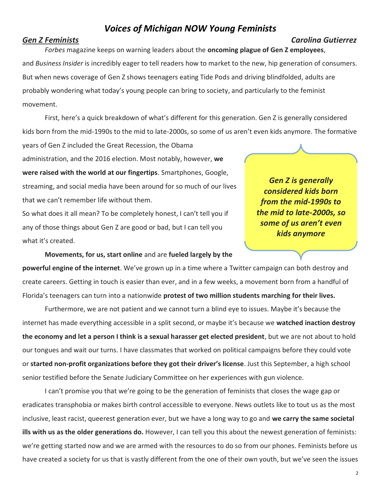## *Voices of Michigan NOW Young Feminists*

## *Gen Z Feminists Carolina Gutierrez*

*Forbes* magazine keeps on warning leaders about the **oncoming plague of Gen Z employees**, and *Business Insider* is incredibly eager to tell readers how to market to the new, hip generation of consumers. But when news coverage of Gen Z shows teenagers eating Tide Pods and driving blindfolded, adults are probably wondering what today's young people can bring to society, and particularly to the feminist movement.

First, here's a quick breakdown of what's different for this generation. Gen Z is generally considered kids born from the mid-1990s to the mid to late-2000s, so some of us aren't even kids anymore. The formative

years of Gen Z included the Great Recession, the Obama administration, and the 2016 election. Most notably, however, **we were raised with the world at our fingertips**. Smartphones, Google, streaming, and social media have been around for so much of our lives that we can't remember life without them.

So what does it all mean? To be completely honest, I can't tell you if any of those things about Gen Z are good or bad, but I can tell you what it's created.

*Gen Z is generally considered kids born from the mid-1990s to the mid to late-2000s, so some of us aren't even kids anymore*

**Movements, for us, start online** and are **fueled largely by the** 

**powerful engine of the internet**. We've grown up in a time where a Twitter campaign can both destroy and create careers. Getting in touch is easier than ever, and in a few weeks, a movement born from a handful of Florida's teenagers can turn into a nationwide **protest of two million students marching for their lives.**

 Furthermore, we are not patient and we cannot turn a blind eye to issues. Maybe it's because the internet has made everything accessible in a split second, or maybe it's because we **watched inaction destroy the economy and let a person I think is a sexual harasser get elected president**, but we are not about to hold our tongues and wait our turns. I have classmates that worked on political campaigns before they could vote or **started non-profit organizations before they got their driver's license**. Just this September, a high school senior testified before the Senate Judiciary Committee on her experiences with gun violence.

I can't promise you that we're going to be the generation of feminists that closes the wage gap or eradicates transphobia or makes birth control accessible to everyone. News outlets like to tout us as the most inclusive, least racist, queerest generation ever, but we have a long way to go and **we carry the same societal ills with us as the older generations do.** However, I can tell you this about the newest generation of feminists: we're getting started now and we are armed with the resources to do so from our phones. Feminists before us have created a society for us that is vastly different from the one of their own youth, but we've seen the issues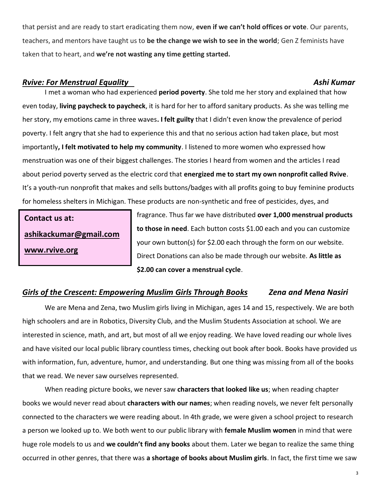that persist and are ready to start eradicating them now, **even if we can't hold offices or vote**. Our parents, teachers, and mentors have taught us to **be the change we wish to see in the world**; Gen Z feminists have taken that to heart, and **we're not wasting any time getting started.**

#### *Rvive: For Menstrual Equality Ashi Kumar*

I met a woman who had experienced **period poverty**. She told me her story and explained that how even today, **living paycheck to paycheck**, it is hard for her to afford sanitary products. As she was telling me her story, my emotions came in three waves**. I felt guilty** that I didn't even know the prevalence of period poverty. I felt angry that she had to experience this and that no serious action had taken pla**c**e, but most importantly**, I felt motivated to help my community**. I listened to more women who expressed how menstruation was one of their biggest challenges. The stories I heard from women and the articles I read about period poverty served as the electric cord that **energized me to start my own nonprofit called Rvive**. It's a youth-run nonprofit that makes and sells buttons/badges with all profits going to buy feminine products for homeless shelters in Michigan. These products are non-synthetic and free of pesticides, dyes, and

**Contact us at: [ashikackumar@gmail.com](mailto:ashikackumar@gmail.com) [www.rvive.org](http://www.rvive.org/)**

fragrance. Thus far we have distributed **over 1,000 menstrual products to those in need**. Each button costs \$1.00 each and you can customize your own button(s) for \$2.00 each through the form on our website. Direct Donations can also be made through our website. **As little as \$2.00 can cover a menstrual cycle**.

### *Girls of the Crescent: Empowering Muslim Girls Through Books Zena and Mena Nasiri*

We are Mena and Zena, two Muslim girls living in Michigan, ages 14 and 15, respectively. We are both high schoolers and are in Robotics, Diversity Club, and the Muslim Students Association at school. We are interested in science, math, and art, but most of all we enjoy reading. We have loved reading our whole lives and have visited our local public library countless times, checking out book after book. Books have provided us with information, fun, adventure, humor, and understanding. But one thing was missing from all of the books that we read. We never saw ourselves represented.

When reading picture books, we never saw **characters that looked like us**; when reading chapter books we would never read about **characters with our names**; when reading novels, we never felt personally connected to the characters we were reading about. In 4th grade, we were given a school project to research a person we looked up to. We both went to our public library with **female Muslim women** in mind that were huge role models to us and **we couldn't find any books** about them. Later we began to realize the same thing occurred in other genres, that there was **a shortage of books about Muslim girls**. In fact, the first time we saw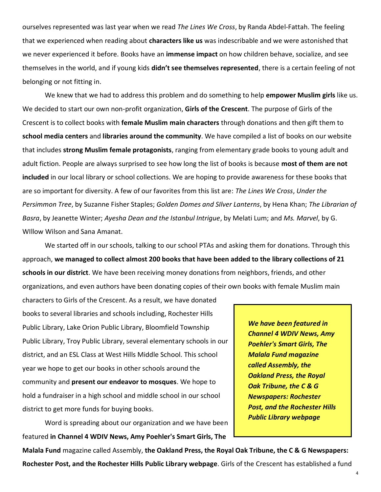ourselves represented was last year when we read *The Lines We Cross*, by Randa Abdel-Fattah. The feeling that we experienced when reading about **characters like us** was indescribable and we were astonished that we never experienced it before. Books have an **immense impact** on how children behave, socialize, and see themselves in the world, and if young kids **didn't see themselves represented**, there is a certain feeling of not belonging or not fitting in.

We knew that we had to address this problem and do something to help **empower Muslim girls** like us. We decided to start our own non-profit organization, **Girls of the Crescent**. The purpose of Girls of the Crescent is to collect books with **female Muslim main characters** through donations and then gift them to **school media centers** and **libraries around the community**. We have compiled a list of books on our website that includes **strong Muslim female protagonists**, ranging from elementary grade books to young adult and adult fiction. People are always surprised to see how long the list of books is because **most of them are not included** in our local library or school collections. We are hoping to provide awareness for these books that are so important for diversity. A few of our favorites from this list are: *The Lines We Cross*, *Under the Persimmon Tree*, by Suzanne Fisher Staples; *Golden Domes and SIlver Lanterns*, by Hena Khan; *The Librarian of Basra*, by Jeanette Winter; *Ayesha Dean and the Istanbul Intrigue*, by Melati Lum; and *Ms. Marvel*, by G. WIllow Wilson and Sana Amanat.

We started off in our schools, talking to our school PTAs and asking them for donations. Through this approach, **we managed to collect almost 200 books that have been added to the library collections of 21 schools in our district**. We have been receiving money donations from neighbors, friends, and other organizations, and even authors have been donating copies of their own books with female Muslim main

characters to Girls of the Crescent. As a result, we have donated books to several libraries and schools including, Rochester Hills Public Library, Lake Orion Public Library, Bloomfield Township Public Library, Troy Public Library, several elementary schools in our district, and an ESL Class at West Hills Middle School. This school year we hope to get our books in other schools around the community and **present our endeavor to mosques**. We hope to hold a fundraiser in a high school and middle school in our school district to get more funds for buying books.

Word is spreading about our organization and we have been featured **in Channel 4 WDIV News, Amy Poehler's Smart Girls, The** 

*We have been featured in Channel 4 WDIV News, Amy Poehler's Smart Girls, The Malala Fund magazine called Assembly, the Oakland Press, the Royal Oak Tribune, the C & G Newspapers: Rochester Post, and the Rochester Hills Public Library webpage*

**Malala Fund** magazine called Assembly, **the Oakland Press, the Royal Oak Tribune, the C & G Newspapers: Rochester Post, and the Rochester Hills Public Library webpage**. Girls of the Crescent has established a fund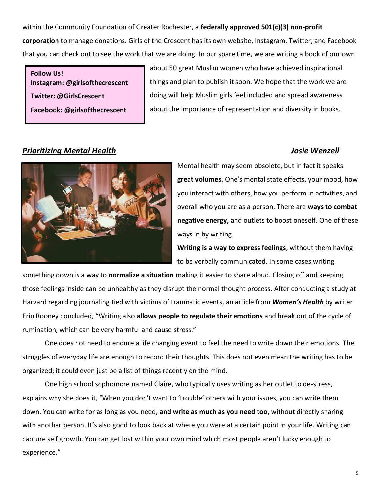within the Community Foundation of Greater Rochester, a **federally approved 501(c)(3) non-profit corporation** to manage donations. Girls of the Crescent has its own website, Instagram, Twitter, and Facebook that you can check out to see the work that we are doing. In our spare time, we are writing a book of our own

**Follow Us! Instagram: @girlsofthecrescent Twitter: @GirlsCrescent Facebook: @girlsofthecrescent**

about 50 great Muslim women who have achieved inspirational things and plan to publish it soon. We hope that the work we are doing will help Muslim girls feel included and spread awareness about the importance of representation and diversity in books.

### *Prioritizing Mental Health Josie Wenzell*



Mental health may seem obsolete, but in fact it speaks **great volumes**. One's mental state effects, your mood, how you interact with others, how you perform in activities, and overall who you are as a person. There are **ways to combat negative energy,** and outlets to boost oneself. One of these ways in by writing.

**Writing is a way to express feelings**, without them having to be verbally communicated. In some cases writing

something down is a way to **normalize a situation** making it easier to share aloud. Closing off and keeping those feelings inside can be unhealthy as they disrupt the normal thought process. After conducting a study at Harvard regarding journaling tied with victims of traumatic events, an article from *[Women's Health](https://www.womenshealth.com.au/writing-stress-anxiety)* by writer Erin Rooney concluded, "Writing also **allows people to regulate their emotions** and break out of the cycle of rumination, which can be very harmful and cause stress."

One does not need to endure a life changing event to feel the need to write down their emotions. The struggles of everyday life are enough to record their thoughts. This does not even mean the writing has to be organized; it could even just be a list of things recently on the mind.

One high school sophomore named Claire, who typically uses writing as her outlet to de-stress, explains why she does it, "When you don't want to 'trouble' others with your issues, you can write them down. You can write for as long as you need, **and write as much as you need too**, without directly sharing with another person. It's also good to look back at where you were at a certain point in your life. Writing can capture self growth. You can get lost within your own mind which most people aren't lucky enough to experience."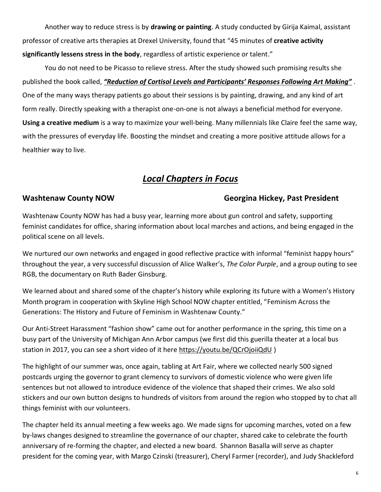Another way to reduce stress is by **drawing or painting**. A study conducted by Girija Kaimal, assistant professor of creative arts therapies at Drexel University, found that "45 minutes of **creative activity significantly lessens stress in the body**, regardless of artistic experience or talent."

You do not need to be Picasso to relieve stress. After the study showed such promising results she published the book called, *["Reduction of Cortisol Levels and Participants' Responses Following Art Making"](https://www.tandfonline.com/doi/abs/10.1080/07421656.2016.1166832?journalCode=uart20#.V2GKm-YrI6g)* . One of the many ways therapy patients go about their sessions is by painting, drawing, and any kind of art form really. Directly speaking with a therapist one-on-one is not always a beneficial method for everyone. **Using a creative medium** is a way to maximize your well-being. Many millennials like Claire feel the same way, with the pressures of everyday life. Boosting the mindset and creating a more positive attitude allows for a healthier way to live.

## *Local Chapters in Focus*

#### **Washtenaw County NOW Georgina Hickey, Past President**

Washtenaw County NOW has had a busy year, learning more about gun control and safety, supporting feminist candidates for office, sharing information about local marches and actions, and being engaged in the political scene on all levels.

We nurtured our own networks and engaged in good reflective practice with informal "feminist happy hours" throughout the year, a very successful discussion of Alice Walker's, *The Color Purple*, and a group outing to see RGB, the documentary on Ruth Bader Ginsburg.

We learned about and shared some of the chapter's history while exploring its future with a Women's History Month program in cooperation with Skyline High School NOW chapter entitled, "Feminism Across the Generations: The History and Future of Feminism in Washtenaw County."

Our Anti-Street Harassment "fashion show" came out for another performance in the spring, this time on a busy part of the University of Michigan Ann Arbor campus (we first did this guerilla theater at a local bus station in 2017, you can see a short video of it here<https://youtu.be/QCrOjoiiQdU> )

The highlight of our summer was, once again, tabling at Art Fair, where we collected nearly 500 signed postcards urging the governor to grant clemency to survivors of domestic violence who were given life sentences but not allowed to introduce evidence of the violence that shaped their crimes. We also sold stickers and our own button designs to hundreds of visitors from around the region who stopped by to chat all things feminist with our volunteers.

The chapter held its annual meeting a few weeks ago. We made signs for upcoming marches, voted on a few by-laws changes designed to streamline the governance of our chapter, shared cake to celebrate the fourth anniversary of re-forming the chapter, and elected a new board. Shannon Basalla will serve as chapter president for the coming year, with Margo Czinski (treasurer), Cheryl Farmer (recorder), and Judy Shackleford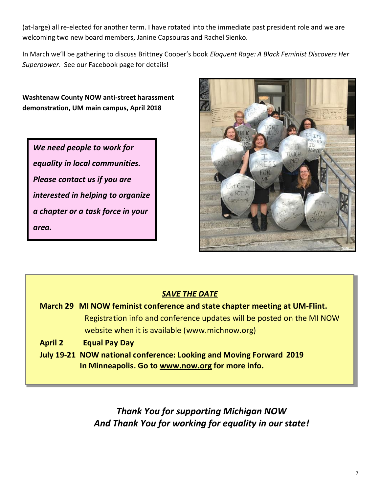(at-large) all re-elected for another term. I have rotated into the immediate past president role and we are welcoming two new board members, Janine Capsouras and Rachel Sienko.

In March we'll be gathering to discuss Brittney Cooper's book *Eloquent Rage: A Black Feminist Discovers Her Superpower*. See our Facebook page for details!

**Washtenaw County NOW anti-street harassment demonstration, UM main campus, April 2018**

*We need people to work for equality in local communities. Please contact us if you are interested in helping to organize a chapter or a task force in your area.* 



### *SAVE THE DATE*

- **March 29 MI NOW feminist conference and state chapter meeting at UM-Flint.**  Registration info and conference updates will be posted on the MI NOW website when it is available (www.michnow.org)
- **April 2 Equal Pay Day**
- **July 19-21 NOW national conference: Looking and Moving Forward 2019 In Minneapolis. Go to [www.now.org](http://www.now.org/) for more info.**

*Thank You for supporting Michigan NOW And Thank You for working for equality in our state!*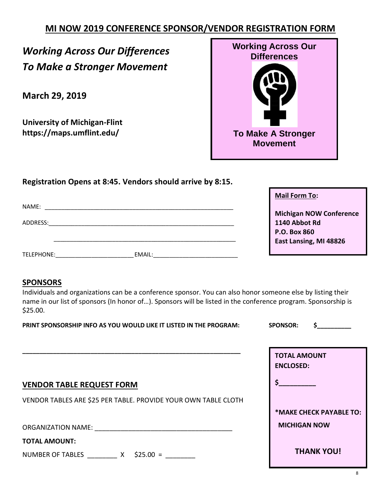## **MI NOW 2019 CONFERENCE SPONSOR/VENDOR REGISTRATION FORM**

# *Working Across Our Differences To Make a Stronger Movement*

**March 29, 2019**

**University of Michigan-Flint https://maps.umflint.edu/**



**Registration Opens at 8:45. Vendors should arrive by 8:15.**

| NAME:                                                             |        |
|-------------------------------------------------------------------|--------|
| ADDRESS:                                                          |        |
| TELEPHONE:<br><u> 1980 - Jan Samuel Barbara, politik e</u> ta pro | EMAIL: |

**Mail Form To:**

**Michigan NOW Conference 1140 Abbot Rd P.O. Box 860 East Lansing, MI 48826**

#### **SPONSORS**

Individuals and organizations can be a conference sponsor. You can also honor someone else by listing their name in our list of sponsors (In honor of…). Sponsors will be listed in the conference program. Sponsorship is \$25.00.

| PRINT SPONSORSHIP INFO AS YOU WOULD LIKE IT LISTED IN THE PROGRAM:                                                        | <b>SPONSOR:</b>                         |  |
|---------------------------------------------------------------------------------------------------------------------------|-----------------------------------------|--|
|                                                                                                                           | <b>TOTAL AMOUNT</b><br><b>ENCLOSED:</b> |  |
| <b>VENDOR TABLE REQUEST FORM</b>                                                                                          | \$                                      |  |
| VENDOR TABLES ARE \$25 PER TABLE. PROVIDE YOUR OWN TABLE CLOTH                                                            |                                         |  |
|                                                                                                                           | *MAKE CHECK PAYABLE TO:                 |  |
| <b>ORGANIZATION NAME:</b>                                                                                                 | <b>MICHIGAN NOW</b>                     |  |
| <b>TOTAL AMOUNT:</b>                                                                                                      |                                         |  |
| $\mathbf{A} \mathbf{A} = \mathbf{A} \mathbf{A}$<br>$\sim$ $\sim$ $\sim$<br>$\cdots$ . $\cdots$ $\cdots$ $\cdots$ $\cdots$ | <b>THANK YOU!</b>                       |  |

NUMBER OF TABLES  $X$  \$25.00 =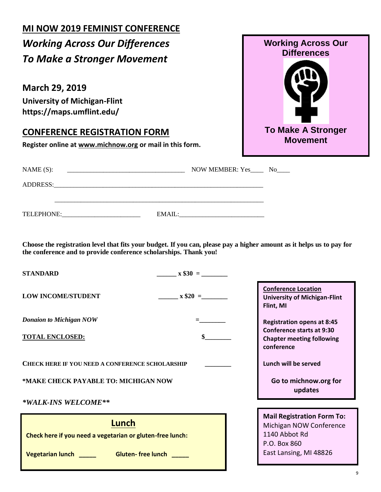## **MI NOW 2019 FEMINIST CONFERENCE** *Working Across Our Differences To Make a Stronger Movement* **March 29, 2019 University of Michigan-Flint https://maps.umflint.edu/ CONFERENCE REGISTRATION FORM Register online at [www.michnow.org](http://www.michnow.org/) or mail in this form.** NAME (S): \_\_\_\_\_\_\_\_\_\_\_\_\_\_\_\_\_\_\_\_\_\_\_\_\_\_\_\_\_\_\_\_\_\_\_\_ NOW MEMBER: Yes\_\_\_\_ No\_\_\_\_ ADDRESS:\_\_\_\_\_\_\_\_\_\_\_\_\_\_\_\_\_\_\_\_\_\_\_\_\_\_\_\_\_\_\_\_\_\_\_\_\_\_\_\_\_\_\_\_\_\_\_\_\_\_\_\_\_\_\_\_\_\_\_\_\_\_\_\_ \_\_\_\_\_\_\_\_\_\_\_\_\_\_\_\_\_\_\_\_\_\_\_\_\_\_\_\_\_\_\_\_\_\_\_\_\_\_\_\_\_\_\_\_\_\_\_\_\_\_\_\_\_\_\_\_\_\_\_\_\_\_\_\_ TELEPHONE: EMAIL: **Choose the registration level that fits your budget. If you can, please pay a higher amount as it helps us to pay for the conference and to provide conference scholarships. Thank you! STANDARD**  $x \$30 =$ **LOW INCOME/STUDENT**  $\mathbf{x}$  \$20 = *Donaion to Michigan NOW* **TOTAL ENCLOSED: \$\_\_\_\_\_\_\_\_ CHECK HERE IF YOU NEED A CONFERENCE SCHOLARSHIP \_\_\_\_\_\_\_\_ \*MAKE CHECK PAYABLE TO: MICHIGAN NOW** *\*WALK-INS WELCOME\*\**  **Lunch Conference Location University of Michigan-Flint Flint, MI Registration opens at 8:45 Conference starts at 9:30 Chapter meeting following conference Lunch will be served Go to michnow.org for updates Check here if you need a vegetarian or gluten-free lunch: Vegetarian lunch \_\_\_\_\_ Gluten- free lunch \_\_\_\_\_ Mail Registration Form To:** Michigan NOW Conference 1140 Abbot Rd P.O. Box 860 East Lansing, MI 48826 **Working Across Our Differences To Make A Stronger Movement**